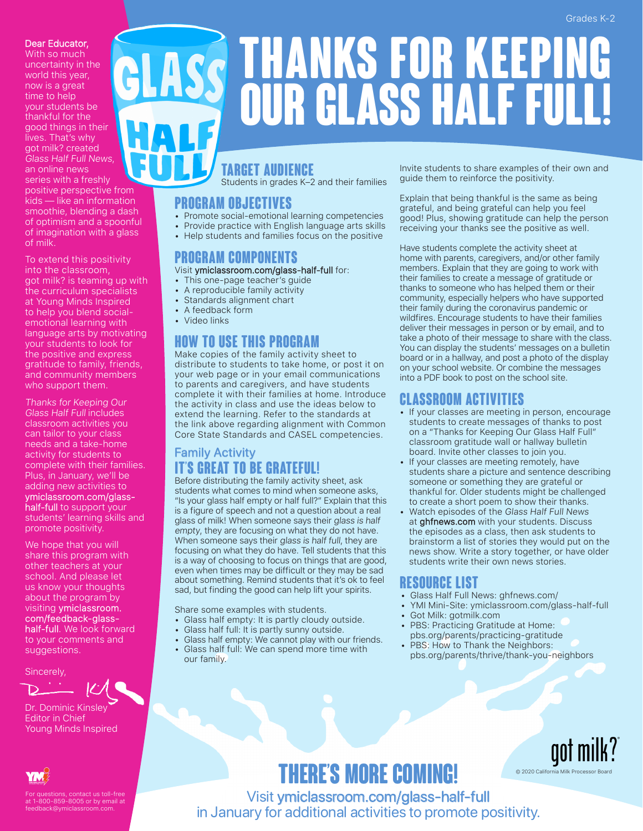#### Grades K-2

#### Dear Educator,

With so much uncertainty in the world this year, now is a great time to help your students be thankful for the good things in their lives. That's why got milk? created Glass Half Full News, an online news series with a freshly positive perspective from kids — like an information smoothie, blending a dash of optimism and a spoonful of imagination with a glass of milk.

To extend this positivity into the classroom, got milk? is teaming up with the curriculum specialists at Young Minds Inspired to help you blend socialemotional learning with language arts by motivating your students to look for the positive and express gratitude to family, friends, and community members who support them.

Thanks for Keeping Our Glass Half Full includes classroom activities you can tailor to your class needs and a take-home activity for students to complete with their families. Plus, in January, we'll be adding new activities to ymiclassroom.com/glasshalf-full to support your

students' learning skills and promote positivity.

We hope that you will share this program with other teachers at your school. And please let us know your thoughts about the program by visiting ymiclassroom. com/feedback-glasshalf-full. We look forward to your comments and suggestions.

Sincerely,



Dr. Dominic Kinsley Editor in Chief Young Minds Inspired



For questions, contact us toll-free at 1-800-859-8005 or by email at feedback@ymiclassroom.com.

# **Thanks for Keeping Our Glass Half Full!**

#### **Target Audience**

Students in grades K–2 and their families

#### **Program Objectives**

- Promote social-emotional learning competencies
- Provide practice with English language arts skills
- Help students and families focus on the positive

#### **Program Components**

#### Visit ymiclassroom.com/glass-half-full for:

- This one-page teacher's guide
- A reproducible family activity • Standards alignment chart
- A feedback form
- Video links

#### **How to Use This Program**

Make copies of the family activity sheet to distribute to students to take home, or post it on your web page or in your email communications to parents and caregivers, and have students complete it with their families at home. Introduce the activity in class and use the ideas below to extend the learning. Refer to the standards at the link above regarding alignment with Common Core State Standards and CASEL competencies.

#### Family Activity **It's Great to Be Grateful!**

Before distributing the family activity sheet, ask students what comes to mind when someone asks, "Is your glass half empty or half full?" Explain that this is a figure of speech and not a question about a real glass of milk! When someone says their glass is half empty, they are focusing on what they do not have. When someone says their glass is half full, they are focusing on what they do have. Tell students that this is a way of choosing to focus on things that are good, even when times may be difficult or they may be sad about something. Remind students that it's ok to feel sad, but finding the good can help lift your spirits.

Share some examples with students.

- Glass half empty: It is partly cloudy outside.
- Glass half full: It is partly sunny outside.
- Glass half empty: We cannot play with our friends.
- Glass half full: We can spend more time with our family.

Invite students to share examples of their own and guide them to reinforce the positivity.

Explain that being thankful is the same as being grateful, and being grateful can help you feel good! Plus, showing gratitude can help the person receiving your thanks see the positive as well.

Have students complete the activity sheet at home with parents, caregivers, and/or other family members. Explain that they are going to work with their families to create a message of gratitude or thanks to someone who has helped them or their community, especially helpers who have supported their family during the coronavirus pandemic or wildfires. Encourage students to have their families deliver their messages in person or by email, and to take a photo of their message to share with the class. You can display the students' messages on a bulletin board or in a hallway, and post a photo of the display on your school website. Or combine the messages into a PDF book to post on the school site.

#### **Classroom Activities**

- If your classes are meeting in person, encourage students to create messages of thanks to post on a "Thanks for Keeping Our Glass Half Full" classroom gratitude wall or hallway bulletin board. Invite other classes to join you.
- If your classes are meeting remotely, have students share a picture and sentence describing someone or something they are grateful or thankful for. Older students might be challenged to create a short poem to show their thanks.
- Watch episodes of the Glass Half Full News at ghfnews.com with your students. Discuss the episodes as a class, then ask students to brainstorm a list of stories they would put on the news show. Write a story together, or have older students write their own news stories.

#### **Resource List**

- Glass Half Full News: ghfnews.com/
- YMI Mini-Site: ymiclassroom.com/glass-half-full
- Got Milk: gotmilk.com
- PBS: Practicing Gratitude at Home: pbs.org/parents/practicing-gratitude
- PBS: How to Thank the Neighbors: pbs.org/parents/thrive/thank-you-neighbors

## **There's More Coming!**

aot n © 2020 California Milk Processor Board

Visit ymiclassroom.com/glass-half-full in January for additional activities to promote positivity.